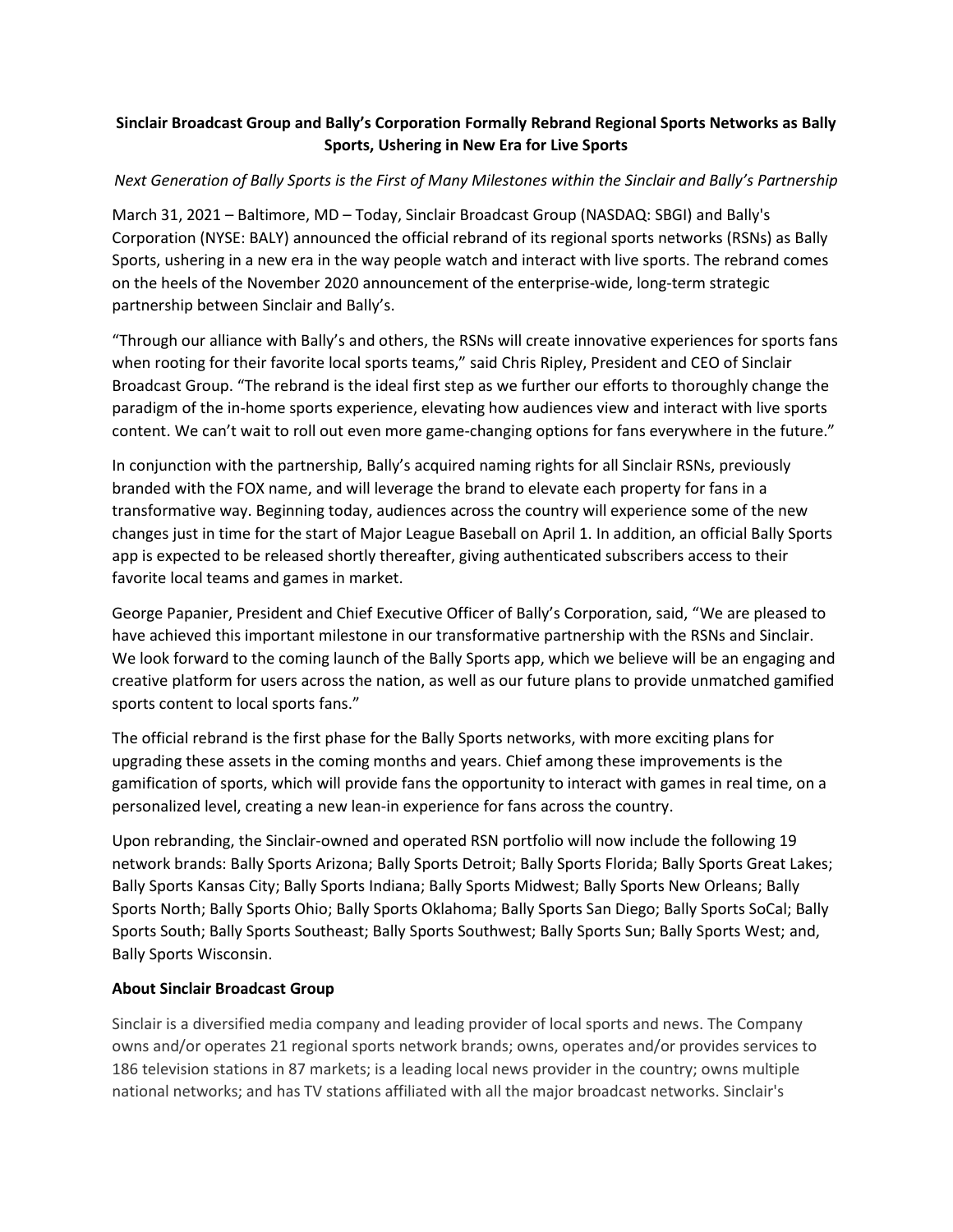## **Sinclair Broadcast Group and Bally's Corporation Formally Rebrand Regional Sports Networks as Bally Sports, Ushering in New Era for Live Sports**

## *Next Generation of Bally Sports is the First of Many Milestones within the Sinclair and Bally's Partnership*

March 31, 2021 – Baltimore, MD – Today, Sinclair Broadcast Group (NASDAQ: SBGI) and Bally's Corporation (NYSE: BALY) announced the official rebrand of its regional sports networks (RSNs) as Bally Sports, ushering in a new era in the way people watch and interact with live sports. The rebrand comes on the heels of the November 2020 announcement of the enterprise-wide, long-term strategic partnership between Sinclair and Bally's.

"Through our alliance with Bally's and others, the RSNs will create innovative experiences for sports fans when rooting for their favorite local sports teams," said Chris Ripley, President and CEO of Sinclair Broadcast Group. "The rebrand is the ideal first step as we further our efforts to thoroughly change the paradigm of the in-home sports experience, elevating how audiences view and interact with live sports content. We can't wait to roll out even more game-changing options for fans everywhere in the future."

In conjunction with the partnership, Bally's acquired naming rights for all Sinclair RSNs, previously branded with the FOX name, and will leverage the brand to elevate each property for fans in a transformative way. Beginning today, audiences across the country will experience some of the new changes just in time for the start of Major League Baseball on April 1. In addition, an official Bally Sports app is expected to be released shortly thereafter, giving authenticated subscribers access to their favorite local teams and games in market.

George Papanier, President and Chief Executive Officer of Bally's Corporation, said, "We are pleased to have achieved this important milestone in our transformative partnership with the RSNs and Sinclair. We look forward to the coming launch of the Bally Sports app, which we believe will be an engaging and creative platform for users across the nation, as well as our future plans to provide unmatched gamified sports content to local sports fans."

The official rebrand is the first phase for the Bally Sports networks, with more exciting plans for upgrading these assets in the coming months and years. Chief among these improvements is the gamification of sports, which will provide fans the opportunity to interact with games in real time, on a personalized level, creating a new lean-in experience for fans across the country.

Upon rebranding, the Sinclair-owned and operated RSN portfolio will now include the following 19 network brands: Bally Sports Arizona; Bally Sports Detroit; Bally Sports Florida; Bally Sports Great Lakes; Bally Sports Kansas City; Bally Sports Indiana; Bally Sports Midwest; Bally Sports New Orleans; Bally Sports North; Bally Sports Ohio; Bally Sports Oklahoma; Bally Sports San Diego; Bally Sports SoCal; Bally Sports South; Bally Sports Southeast; Bally Sports Southwest; Bally Sports Sun; Bally Sports West; and, Bally Sports Wisconsin.

### **About Sinclair Broadcast Group**

Sinclair is a diversified media company and leading provider of local sports and news. The Company owns and/or operates 21 regional sports network brands; owns, operates and/or provides services to 186 television stations in 87 markets; is a leading local news provider in the country; owns multiple national networks; and has TV stations affiliated with all the major broadcast networks. Sinclair's